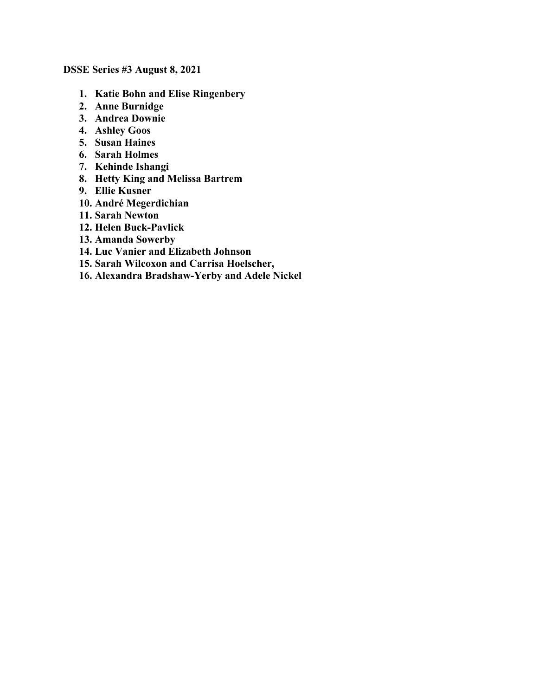**DSSE Series #3 August 8, 2021**

- **1. Katie Bohn and Elise Ringenbery**
- **2. Anne Burnidge**
- **3. Andrea Downie**
- **4. Ashley Goos**
- **5. Susan Haines**
- **6. Sarah Holmes**
- **7. Kehinde Ishangi**
- **8. Hetty King and Melissa Bartrem**
- **9. Ellie Kusner**
- **10. André Megerdichian**
- **11. Sarah Newton**
- **12. Helen Buck-Pavlick**
- **13. Amanda Sowerby**
- **14. Luc Vanier and Elizabeth Johnson**
- **15. Sarah Wilcoxon and Carrisa Hoelscher,**
- **16. Alexandra Bradshaw-Yerby and Adele Nickel**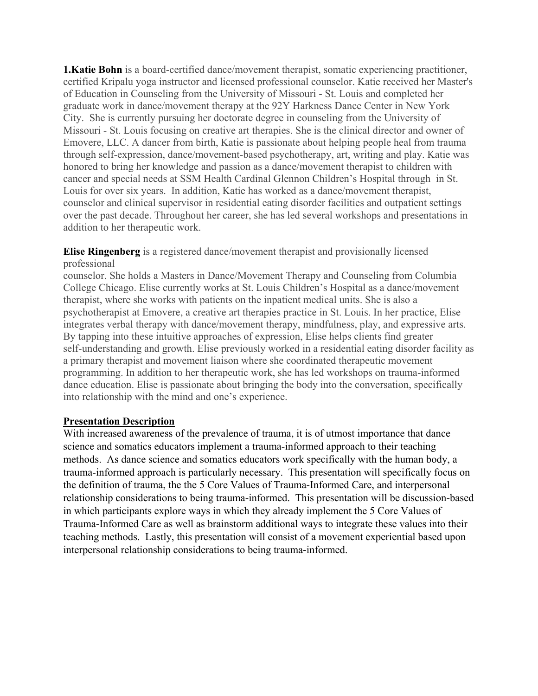**1. Katie Bohn** is a board-certified dance/movement therapist, somatic experiencing practitioner, certified Kripalu yoga instructor and licensed professional counselor. Katie received her Master's of Education in Counseling from the University of Missouri - St. Louis and completed her graduate work in dance/movement therapy at the 92Y Harkness Dance Center in New York City. She is currently pursuing her doctorate degree in counseling from the University of Missouri - St. Louis focusing on creative art therapies. She is the clinical director and owner of Emovere, LLC. A dancer from birth, Katie is passionate about helping people heal from trauma through self-expression, dance/movement-based psychotherapy, art, writing and play. Katie was honored to bring her knowledge and passion as a dance/movement therapist to children with cancer and special needs at SSM Health Cardinal Glennon Children's Hospital through in St. Louis for over six years. In addition, Katie has worked as a dance/movement therapist, counselor and clinical supervisor in residential eating disorder facilities and outpatient settings over the past decade. Throughout her career, she has led several workshops and presentations in addition to her therapeutic work.

**Elise Ringenberg** is a registered dance/movement therapist and provisionally licensed professional

counselor. She holds a Masters in Dance/Movement Therapy and Counseling from Columbia College Chicago. Elise currently works at St. Louis Children's Hospital as a dance/movement therapist, where she works with patients on the inpatient medical units. She is also a psychotherapist at Emovere, a creative art therapies practice in St. Louis. In her practice, Elise integrates verbal therapy with dance/movement therapy, mindfulness, play, and expressive arts. By tapping into these intuitive approaches of expression, Elise helps clients find greater self-understanding and growth. Elise previously worked in a residential eating disorder facility as a primary therapist and movement liaison where she coordinated therapeutic movement programming. In addition to her therapeutic work, she has led workshops on trauma-informed dance education. Elise is passionate about bringing the body into the conversation, specifically into relationship with the mind and one's experience.

#### **Presentation Description**

With increased awareness of the prevalence of trauma, it is of utmost importance that dance science and somatics educators implement a trauma-informed approach to their teaching methods. As dance science and somatics educators work specifically with the human body, a trauma-informed approach is particularly necessary. This presentation will specifically focus on the definition of trauma, the the 5 Core Values of Trauma-Informed Care, and interpersonal relationship considerations to being trauma-informed. This presentation will be discussion-based in which participants explore ways in which they already implement the 5 Core Values of Trauma-Informed Care as well as brainstorm additional ways to integrate these values into their teaching methods. Lastly, this presentation will consist of a movement experiential based upon interpersonal relationship considerations to being trauma-informed.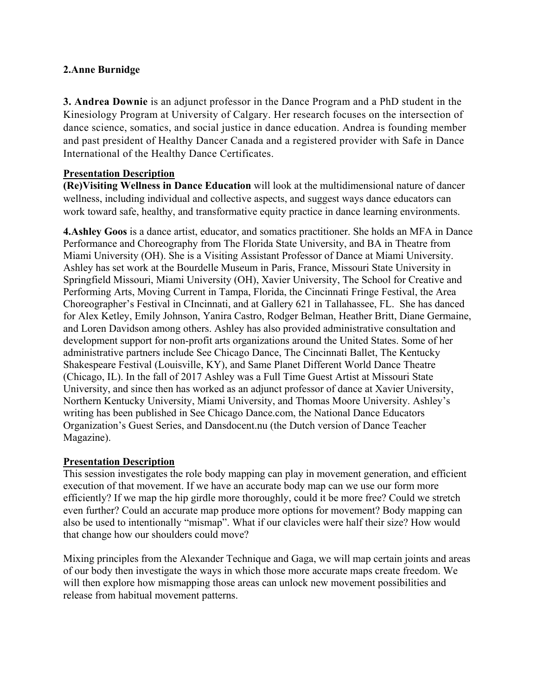# **2.Anne Burnidge**

**3. Andrea Downie** is an adjunct professor in the Dance Program and a PhD student in the Kinesiology Program at University of Calgary. Her research focuses on the intersection of dance science, somatics, and social justice in dance education. Andrea is founding member and past president of Healthy Dancer Canada and a registered provider with Safe in Dance International of the Healthy Dance Certificates.

### **Presentation Description**

**(Re)Visiting Wellness in Dance Education** will look at the multidimensional nature of dancer wellness, including individual and collective aspects, and suggest ways dance educators can work toward safe, healthy, and transformative equity practice in dance learning environments.

**4.Ashley Goos** is a dance artist, educator, and somatics practitioner. She holds an MFA in Dance Performance and Choreography from The Florida State University, and BA in Theatre from Miami University (OH). She is a Visiting Assistant Professor of Dance at Miami University. Ashley has set work at the Bourdelle Museum in Paris, France, Missouri State University in Springfield Missouri, Miami University (OH), Xavier University, The School for Creative and Performing Arts, Moving Current in Tampa, Florida, the Cincinnati Fringe Festival, the Area Choreographer's Festival in CIncinnati, and at Gallery 621 in Tallahassee, FL. She has danced for Alex Ketley, Emily Johnson, Yanira Castro, Rodger Belman, Heather Britt, Diane Germaine, and Loren Davidson among others. Ashley has also provided administrative consultation and development support for non-profit arts organizations around the United States. Some of her administrative partners include See Chicago Dance, The Cincinnati Ballet, The Kentucky Shakespeare Festival (Louisville, KY), and Same Planet Different World Dance Theatre (Chicago, IL). In the fall of 2017 Ashley was a Full Time Guest Artist at Missouri State University, and since then has worked as an adjunct professor of dance at Xavier University, Northern Kentucky University, Miami University, and Thomas Moore University. Ashley's writing has been published in See Chicago Dance.com, the National Dance Educators Organization's Guest Series, and Dansdocent.nu (the Dutch version of Dance Teacher Magazine).

# **Presentation Description**

This session investigates the role body mapping can play in movement generation, and efficient execution of that movement. If we have an accurate body map can we use our form more efficiently? If we map the hip girdle more thoroughly, could it be more free? Could we stretch even further? Could an accurate map produce more options for movement? Body mapping can also be used to intentionally "mismap". What if our clavicles were half their size? How would that change how our shoulders could move?

Mixing principles from the Alexander Technique and Gaga, we will map certain joints and areas of our body then investigate the ways in which those more accurate maps create freedom. We will then explore how mismapping those areas can unlock new movement possibilities and release from habitual movement patterns.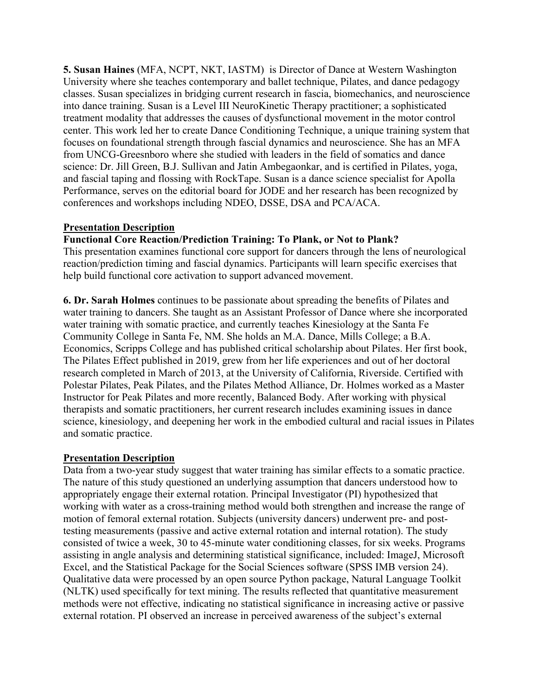**5. Susan Haines** (MFA, NCPT, NKT, IASTM) is Director of Dance at Western Washington University where she teaches contemporary and ballet technique, Pilates, and dance pedagogy classes. Susan specializes in bridging current research in fascia, biomechanics, and neuroscience into dance training. Susan is a Level III NeuroKinetic Therapy practitioner; a sophisticated treatment modality that addresses the causes of dysfunctional movement in the motor control center. This work led her to create Dance Conditioning Technique, a unique training system that focuses on foundational strength through fascial dynamics and neuroscience. She has an MFA from UNCG-Greesnboro where she studied with leaders in the field of somatics and dance science: Dr. Jill Green, B.J. Sullivan and Jatin Ambegaonkar, and is certified in Pilates, yoga, and fascial taping and flossing with RockTape. Susan is a dance science specialist for Apolla Performance, serves on the editorial board for JODE and her research has been recognized by conferences and workshops including NDEO, DSSE, DSA and PCA/ACA.

### **Presentation Description**

#### **Functional Core Reaction/Prediction Training: To Plank, or Not to Plank?**

This presentation examines functional core support for dancers through the lens of neurological reaction/prediction timing and fascial dynamics. Participants will learn specific exercises that help build functional core activation to support advanced movement.

**6. Dr. Sarah Holmes** continues to be passionate about spreading the benefits of Pilates and water training to dancers. She taught as an Assistant Professor of Dance where she incorporated water training with somatic practice, and currently teaches Kinesiology at the Santa Fe Community College in Santa Fe, NM. She holds an M.A. Dance, Mills College; a B.A. Economics, Scripps College and has published critical scholarship about Pilates. Her first book, The Pilates Effect published in 2019, grew from her life experiences and out of her doctoral research completed in March of 2013, at the University of California, Riverside. Certified with Polestar Pilates, Peak Pilates, and the Pilates Method Alliance, Dr. Holmes worked as a Master Instructor for Peak Pilates and more recently, Balanced Body. After working with physical therapists and somatic practitioners, her current research includes examining issues in dance science, kinesiology, and deepening her work in the embodied cultural and racial issues in Pilates and somatic practice.

#### **Presentation Description**

Data from a two-year study suggest that water training has similar effects to a somatic practice. The nature of this study questioned an underlying assumption that dancers understood how to appropriately engage their external rotation. Principal Investigator (PI) hypothesized that working with water as a cross-training method would both strengthen and increase the range of motion of femoral external rotation. Subjects (university dancers) underwent pre- and posttesting measurements (passive and active external rotation and internal rotation). The study consisted of twice a week, 30 to 45-minute water conditioning classes, for six weeks. Programs assisting in angle analysis and determining statistical significance, included: ImageJ, Microsoft Excel, and the Statistical Package for the Social Sciences software (SPSS IMB version 24). Qualitative data were processed by an open source Python package, Natural Language Toolkit (NLTK) used specifically for text mining. The results reflected that quantitative measurement methods were not effective, indicating no statistical significance in increasing active or passive external rotation. PI observed an increase in perceived awareness of the subject's external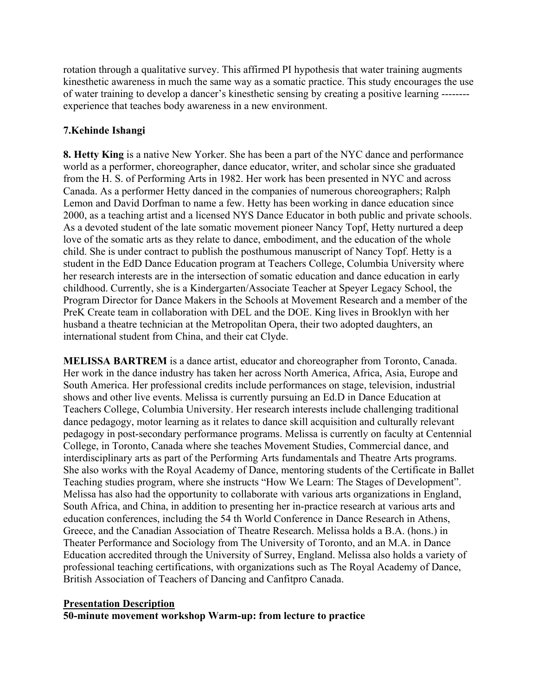rotation through a qualitative survey. This affirmed PI hypothesis that water training augments kinesthetic awareness in much the same way as a somatic practice. This study encourages the use of water training to develop a dancer's kinesthetic sensing by creating a positive learning ------- experience that teaches body awareness in a new environment.

# **7.Kehinde Ishangi**

**8. Hetty King** is a native New Yorker. She has been a part of the NYC dance and performance world as a performer, choreographer, dance educator, writer, and scholar since she graduated from the H. S. of Performing Arts in 1982. Her work has been presented in NYC and across Canada. As a performer Hetty danced in the companies of numerous choreographers; Ralph Lemon and David Dorfman to name a few. Hetty has been working in dance education since 2000, as a teaching artist and a licensed NYS Dance Educator in both public and private schools. As a devoted student of the late somatic movement pioneer Nancy Topf, Hetty nurtured a deep love of the somatic arts as they relate to dance, embodiment, and the education of the whole child. She is under contract to publish the posthumous manuscript of Nancy Topf. Hetty is a student in the EdD Dance Education program at Teachers College, Columbia University where her research interests are in the intersection of somatic education and dance education in early childhood. Currently, she is a Kindergarten/Associate Teacher at Speyer Legacy School, the Program Director for Dance Makers in the Schools at Movement Research and a member of the PreK Create team in collaboration with DEL and the DOE. King lives in Brooklyn with her husband a theatre technician at the Metropolitan Opera, their two adopted daughters, an international student from China, and their cat Clyde.

**MELISSA BARTREM** is a dance artist, educator and choreographer from Toronto, Canada. Her work in the dance industry has taken her across North America, Africa, Asia, Europe and South America. Her professional credits include performances on stage, television, industrial shows and other live events. Melissa is currently pursuing an Ed.D in Dance Education at Teachers College, Columbia University. Her research interests include challenging traditional dance pedagogy, motor learning as it relates to dance skill acquisition and culturally relevant pedagogy in post-secondary performance programs. Melissa is currently on faculty at Centennial College, in Toronto, Canada where she teaches Movement Studies, Commercial dance, and interdisciplinary arts as part of the Performing Arts fundamentals and Theatre Arts programs. She also works with the Royal Academy of Dance, mentoring students of the Certificate in Ballet Teaching studies program, where she instructs "How We Learn: The Stages of Development". Melissa has also had the opportunity to collaborate with various arts organizations in England, South Africa, and China, in addition to presenting her in-practice research at various arts and education conferences, including the 54 th World Conference in Dance Research in Athens, Greece, and the Canadian Association of Theatre Research. Melissa holds a B.A. (hons.) in Theater Performance and Sociology from The University of Toronto, and an M.A. in Dance Education accredited through the University of Surrey, England. Melissa also holds a variety of professional teaching certifications, with organizations such as The Royal Academy of Dance, British Association of Teachers of Dancing and Canfitpro Canada.

#### **Presentation Description**

**50-minute movement workshop Warm-up: from lecture to practice**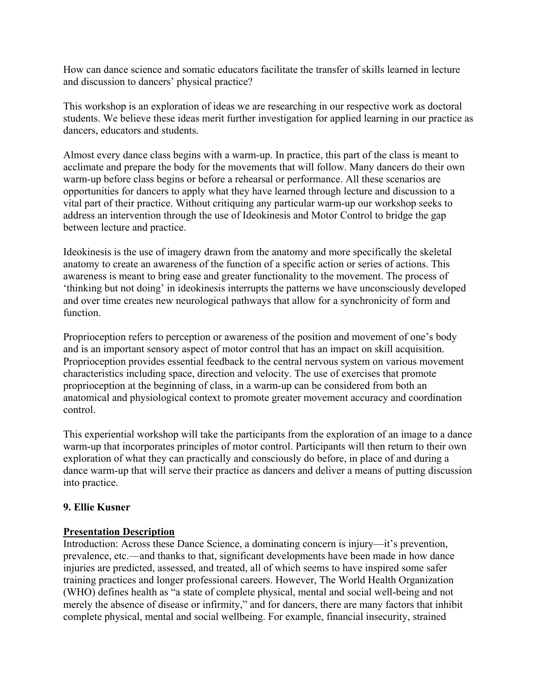How can dance science and somatic educators facilitate the transfer of skills learned in lecture and discussion to dancers' physical practice?

This workshop is an exploration of ideas we are researching in our respective work as doctoral students. We believe these ideas merit further investigation for applied learning in our practice as dancers, educators and students.

Almost every dance class begins with a warm-up. In practice, this part of the class is meant to acclimate and prepare the body for the movements that will follow. Many dancers do their own warm-up before class begins or before a rehearsal or performance. All these scenarios are opportunities for dancers to apply what they have learned through lecture and discussion to a vital part of their practice. Without critiquing any particular warm-up our workshop seeks to address an intervention through the use of Ideokinesis and Motor Control to bridge the gap between lecture and practice.

Ideokinesis is the use of imagery drawn from the anatomy and more specifically the skeletal anatomy to create an awareness of the function of a specific action or series of actions. This awareness is meant to bring ease and greater functionality to the movement. The process of 'thinking but not doing' in ideokinesis interrupts the patterns we have unconsciously developed and over time creates new neurological pathways that allow for a synchronicity of form and function.

Proprioception refers to perception or awareness of the position and movement of one's body and is an important sensory aspect of motor control that has an impact on skill acquisition. Proprioception provides essential feedback to the central nervous system on various movement characteristics including space, direction and velocity. The use of exercises that promote proprioception at the beginning of class, in a warm-up can be considered from both an anatomical and physiological context to promote greater movement accuracy and coordination control.

This experiential workshop will take the participants from the exploration of an image to a dance warm-up that incorporates principles of motor control. Participants will then return to their own exploration of what they can practically and consciously do before, in place of and during a dance warm-up that will serve their practice as dancers and deliver a means of putting discussion into practice.

# **9. Ellie Kusner**

# **Presentation Description**

Introduction: Across these Dance Science, a dominating concern is injury—it's prevention, prevalence, etc.—and thanks to that, significant developments have been made in how dance injuries are predicted, assessed, and treated, all of which seems to have inspired some safer training practices and longer professional careers. However, The World Health Organization (WHO) defines health as "a state of complete physical, mental and social well-being and not merely the absence of disease or infirmity," and for dancers, there are many factors that inhibit complete physical, mental and social wellbeing. For example, financial insecurity, strained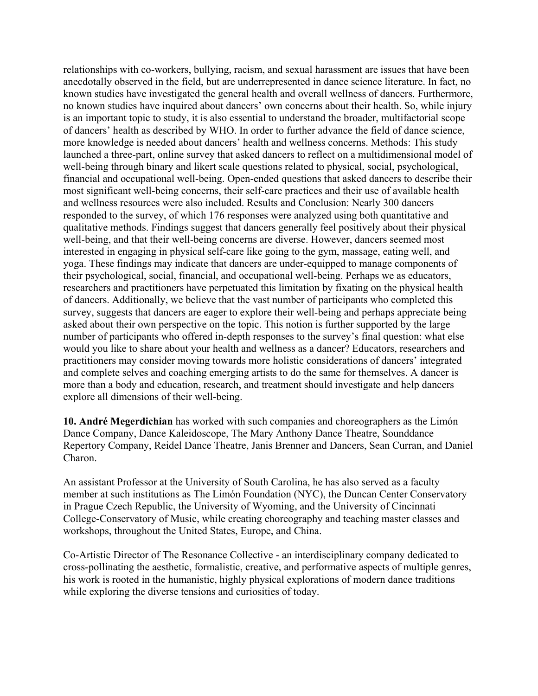relationships with co-workers, bullying, racism, and sexual harassment are issues that have been anecdotally observed in the field, but are underrepresented in dance science literature. In fact, no known studies have investigated the general health and overall wellness of dancers. Furthermore, no known studies have inquired about dancers' own concerns about their health. So, while injury is an important topic to study, it is also essential to understand the broader, multifactorial scope of dancers' health as described by WHO. In order to further advance the field of dance science, more knowledge is needed about dancers' health and wellness concerns. Methods: This study launched a three-part, online survey that asked dancers to reflect on a multidimensional model of well-being through binary and likert scale questions related to physical, social, psychological, financial and occupational well-being. Open-ended questions that asked dancers to describe their most significant well-being concerns, their self-care practices and their use of available health and wellness resources were also included. Results and Conclusion: Nearly 300 dancers responded to the survey, of which 176 responses were analyzed using both quantitative and qualitative methods. Findings suggest that dancers generally feel positively about their physical well-being, and that their well-being concerns are diverse. However, dancers seemed most interested in engaging in physical self-care like going to the gym, massage, eating well, and yoga. These findings may indicate that dancers are under-equipped to manage components of their psychological, social, financial, and occupational well-being. Perhaps we as educators, researchers and practitioners have perpetuated this limitation by fixating on the physical health of dancers. Additionally, we believe that the vast number of participants who completed this survey, suggests that dancers are eager to explore their well-being and perhaps appreciate being asked about their own perspective on the topic. This notion is further supported by the large number of participants who offered in-depth responses to the survey's final question: what else would you like to share about your health and wellness as a dancer? Educators, researchers and practitioners may consider moving towards more holistic considerations of dancers' integrated and complete selves and coaching emerging artists to do the same for themselves. A dancer is more than a body and education, research, and treatment should investigate and help dancers explore all dimensions of their well-being.

**10. André Megerdichian** has worked with such companies and choreographers as the Limón Dance Company, Dance Kaleidoscope, The Mary Anthony Dance Theatre, Sounddance Repertory Company, Reidel Dance Theatre, Janis Brenner and Dancers, Sean Curran, and Daniel Charon.

An assistant Professor at the University of South Carolina, he has also served as a faculty member at such institutions as The Limón Foundation (NYC), the Duncan Center Conservatory in Prague Czech Republic, the University of Wyoming, and the University of Cincinnati College-Conservatory of Music, while creating choreography and teaching master classes and workshops, throughout the United States, Europe, and China.

Co-Artistic Director of The Resonance Collective - an interdisciplinary company dedicated to cross-pollinating the aesthetic, formalistic, creative, and performative aspects of multiple genres, his work is rooted in the humanistic, highly physical explorations of modern dance traditions while exploring the diverse tensions and curiosities of today.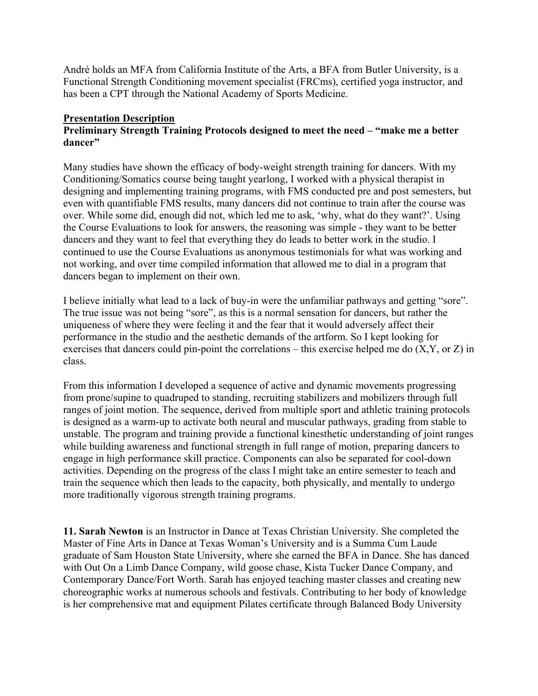André holds an MFA from California Institute of the Arts, a BFA from Butler University, is a Functional Strength Conditioning movement specialist (FRCms), certified yoga instructor, and has been a CPT through the National Academy of Sports Medicine.

### **Presentation Description**

# **Preliminary Strength Training Protocols designed to meet the need – "make me a better dancer"**

Many studies have shown the efficacy of body-weight strength training for dancers. With my Conditioning/Somatics course being taught yearlong, I worked with a physical therapist in designing and implementing training programs, with FMS conducted pre and post semesters, but even with quantifiable FMS results, many dancers did not continue to train after the course was over. While some did, enough did not, which led me to ask, 'why, what do they want?'. Using the Course Evaluations to look for answers, the reasoning was simple - they want to be better dancers and they want to feel that everything they do leads to better work in the studio. I continued to use the Course Evaluations as anonymous testimonials for what was working and not working, and over time compiled information that allowed me to dial in a program that dancers began to implement on their own.

I believe initially what lead to a lack of buy-in were the unfamiliar pathways and getting "sore". The true issue was not being "sore", as this is a normal sensation for dancers, but rather the uniqueness of where they were feeling it and the fear that it would adversely affect their performance in the studio and the aesthetic demands of the artform. So I kept looking for exercises that dancers could pin-point the correlations – this exercise helped me do (X,Y, or Z) in class.

From this information I developed a sequence of active and dynamic movements progressing from prone/supine to quadruped to standing, recruiting stabilizers and mobilizers through full ranges of joint motion. The sequence, derived from multiple sport and athletic training protocols is designed as a warm-up to activate both neural and muscular pathways, grading from stable to unstable. The program and training provide a functional kinesthetic understanding of joint ranges while building awareness and functional strength in full range of motion, preparing dancers to engage in high performance skill practice. Components can also be separated for cool-down activities. Depending on the progress of the class I might take an entire semester to teach and train the sequence which then leads to the capacity, both physically, and mentally to undergo more traditionally vigorous strength training programs.

**11. Sarah Newton** is an Instructor in Dance at Texas Christian University. She completed the Master of Fine Arts in Dance at Texas Woman's University and is a Summa Cum Laude graduate of Sam Houston State University, where she earned the BFA in Dance. She has danced with Out On a Limb Dance Company, wild goose chase, Kista Tucker Dance Company, and Contemporary Dance/Fort Worth. Sarah has enjoyed teaching master classes and creating new choreographic works at numerous schools and festivals. Contributing to her body of knowledge is her comprehensive mat and equipment Pilates certificate through Balanced Body University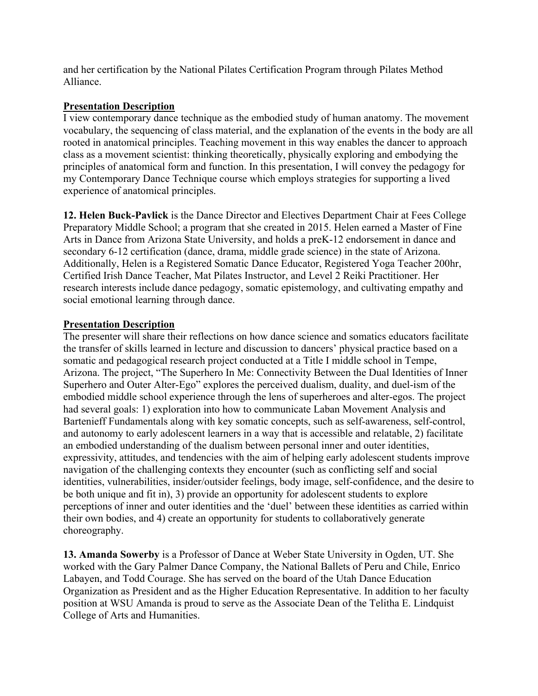and her certification by the National Pilates Certification Program through Pilates Method Alliance.

# **Presentation Description**

I view contemporary dance technique as the embodied study of human anatomy. The movement vocabulary, the sequencing of class material, and the explanation of the events in the body are all rooted in anatomical principles. Teaching movement in this way enables the dancer to approach class as a movement scientist: thinking theoretically, physically exploring and embodying the principles of anatomical form and function. In this presentation, I will convey the pedagogy for my Contemporary Dance Technique course which employs strategies for supporting a lived experience of anatomical principles.

**12. Helen Buck-Pavlick** is the Dance Director and Electives Department Chair at Fees College Preparatory Middle School; a program that she created in 2015. Helen earned a Master of Fine Arts in Dance from Arizona State University, and holds a preK-12 endorsement in dance and secondary 6-12 certification (dance, drama, middle grade science) in the state of Arizona. Additionally, Helen is a Registered Somatic Dance Educator, Registered Yoga Teacher 200hr, Certified Irish Dance Teacher, Mat Pilates Instructor, and Level 2 Reiki Practitioner. Her research interests include dance pedagogy, somatic epistemology, and cultivating empathy and social emotional learning through dance.

### **Presentation Description**

The presenter will share their reflections on how dance science and somatics educators facilitate the transfer of skills learned in lecture and discussion to dancers' physical practice based on a somatic and pedagogical research project conducted at a Title I middle school in Tempe, Arizona. The project, "The Superhero In Me: Connectivity Between the Dual Identities of Inner Superhero and Outer Alter-Ego" explores the perceived dualism, duality, and duel-ism of the embodied middle school experience through the lens of superheroes and alter-egos. The project had several goals: 1) exploration into how to communicate Laban Movement Analysis and Bartenieff Fundamentals along with key somatic concepts, such as self-awareness, self-control, and autonomy to early adolescent learners in a way that is accessible and relatable, 2) facilitate an embodied understanding of the dualism between personal inner and outer identities, expressivity, attitudes, and tendencies with the aim of helping early adolescent students improve navigation of the challenging contexts they encounter (such as conflicting self and social identities, vulnerabilities, insider/outsider feelings, body image, self-confidence, and the desire to be both unique and fit in), 3) provide an opportunity for adolescent students to explore perceptions of inner and outer identities and the 'duel' between these identities as carried within their own bodies, and 4) create an opportunity for students to collaboratively generate choreography.

**13. Amanda Sowerby** is a Professor of Dance at Weber State University in Ogden, UT. She worked with the Gary Palmer Dance Company, the National Ballets of Peru and Chile, Enrico Labayen, and Todd Courage. She has served on the board of the Utah Dance Education Organization as President and as the Higher Education Representative. In addition to her faculty position at WSU Amanda is proud to serve as the Associate Dean of the Telitha E. Lindquist College of Arts and Humanities.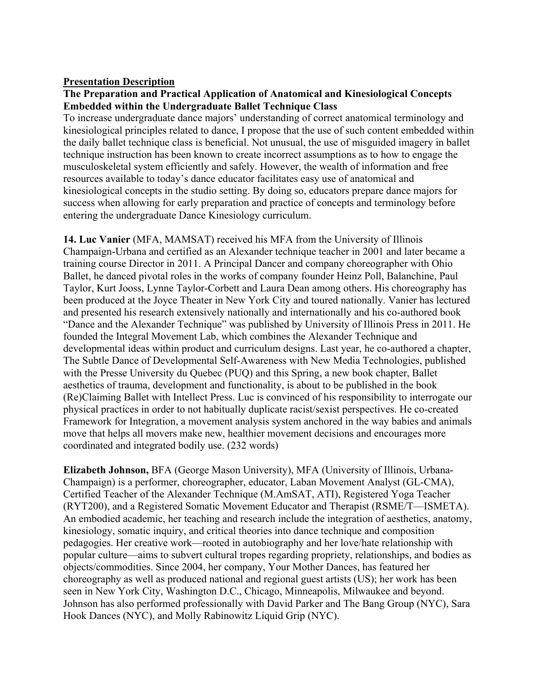#### **Presentation Description**

### **The Preparation and Practical Application of Anatomical and Kinesiological Concepts Embedded within the Undergraduate Ballet Technique Class**

To increase undergraduate dance majors' understanding of correct anatomical terminology and kinesiological principles related to dance, I propose that the use of such content embedded within the daily ballet technique class is beneficial. Not unusual, the use of misguided imagery in ballet technique instruction has been known to create incorrect assumptions as to how to engage the musculoskeletal system efficiently and safely. However, the wealth of information and free resources available to today's dance educator facilitates easy use of anatomical and kinesiological concepts in the studio setting. By doing so, educators prepare dance majors for success when allowing for early preparation and practice of concepts and terminology before entering the undergraduate Dance Kinesiology curriculum.

**14. Luc Vanier** (MFA, MAMSAT) received his MFA from the University of Illinois Champaign-Urbana and certified as an Alexander technique teacher in 2001 and later became a training course Director in 2011. A Principal Dancer and company choreographer with Ohio Ballet, he danced pivotal roles in the works of company founder Heinz Poll, Balanchine, Paul Taylor, Kurt Jooss, Lynne Taylor-Corbett and Laura Dean among others. His choreography has been produced at the Joyce Theater in New York City and toured nationally. Vanier has lectured and presented his research extensively nationally and internationally and his co-authored book "Dance and the Alexander Technique" was published by University of Illinois Press in 2011. He founded the Integral Movement Lab, which combines the Alexander Technique and developmental ideas within product and curriculum designs. Last year, he co-authored a chapter, The Subtle Dance of Developmental Self-Awareness with New Media Technologies, published with the Presse University du Quebec (PUQ) and this Spring, a new book chapter, Ballet aesthetics of trauma, development and functionality, is about to be published in the book (Re)Claiming Ballet with Intellect Press. Luc is convinced of his responsibility to interrogate our physical practices in order to not habitually duplicate racist/sexist perspectives. He co-created Framework for Integration, a movement analysis system anchored in the way babies and animals move that helps all movers make new, healthier movement decisions and encourages more coordinated and integrated bodily use. (232 words)

**Elizabeth Johnson,** BFA (George Mason University), MFA (University of Illinois, Urbana-Champaign) is a performer, choreographer, educator, Laban Movement Analyst (GL-CMA), Certified Teacher of the Alexander Technique (M.AmSAT, ATI), Registered Yoga Teacher (RYT200), and a Registered Somatic Movement Educator and Therapist (RSME/T—ISMETA). An embodied academic, her teaching and research include the integration of aesthetics, anatomy, kinesiology, somatic inquiry, and critical theories into dance technique and composition pedagogies. Her creative work—rooted in autobiography and her love/hate relationship with popular culture—aims to subvert cultural tropes regarding propriety, relationships, and bodies as objects/commodities. Since 2004, her company, Your Mother Dances, has featured her choreography as well as produced national and regional guest artists (US); her work has been seen in New York City, Washington D.C., Chicago, Minneapolis, Milwaukee and beyond. Johnson has also performed professionally with David Parker and The Bang Group (NYC), Sara Hook Dances (NYC), and Molly Rabinowitz Liquid Grip (NYC).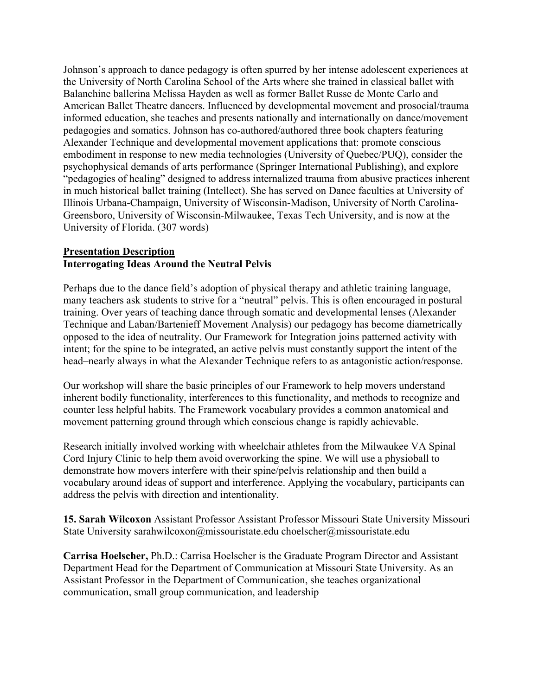Johnson's approach to dance pedagogy is often spurred by her intense adolescent experiences at the University of North Carolina School of the Arts where she trained in classical ballet with Balanchine ballerina Melissa Hayden as well as former Ballet Russe de Monte Carlo and American Ballet Theatre dancers. Influenced by developmental movement and prosocial/trauma informed education, she teaches and presents nationally and internationally on dance/movement pedagogies and somatics. Johnson has co-authored/authored three book chapters featuring Alexander Technique and developmental movement applications that: promote conscious embodiment in response to new media technologies (University of Quebec/PUQ), consider the psychophysical demands of arts performance (Springer International Publishing), and explore "pedagogies of healing" designed to address internalized trauma from abusive practices inherent in much historical ballet training (Intellect). She has served on Dance faculties at University of Illinois Urbana-Champaign, University of Wisconsin-Madison, University of North Carolina-Greensboro, University of Wisconsin-Milwaukee, Texas Tech University, and is now at the University of Florida. (307 words)

### **Presentation Description Interrogating Ideas Around the Neutral Pelvis**

Perhaps due to the dance field's adoption of physical therapy and athletic training language, many teachers ask students to strive for a "neutral" pelvis. This is often encouraged in postural training. Over years of teaching dance through somatic and developmental lenses (Alexander Technique and Laban/Bartenieff Movement Analysis) our pedagogy has become diametrically opposed to the idea of neutrality. Our Framework for Integration joins patterned activity with intent; for the spine to be integrated, an active pelvis must constantly support the intent of the head–nearly always in what the Alexander Technique refers to as antagonistic action/response.

Our workshop will share the basic principles of our Framework to help movers understand inherent bodily functionality, interferences to this functionality, and methods to recognize and counter less helpful habits. The Framework vocabulary provides a common anatomical and movement patterning ground through which conscious change is rapidly achievable.

Research initially involved working with wheelchair athletes from the Milwaukee VA Spinal Cord Injury Clinic to help them avoid overworking the spine. We will use a physioball to demonstrate how movers interfere with their spine/pelvis relationship and then build a vocabulary around ideas of support and interference. Applying the vocabulary, participants can address the pelvis with direction and intentionality.

**15. Sarah Wilcoxon** Assistant Professor Assistant Professor Missouri State University Missouri State University sarahwilcoxon@missouristate.edu choelscher@missouristate.edu

**Carrisa Hoelscher,** Ph.D.: Carrisa Hoelscher is the Graduate Program Director and Assistant Department Head for the Department of Communication at Missouri State University. As an Assistant Professor in the Department of Communication, she teaches organizational communication, small group communication, and leadership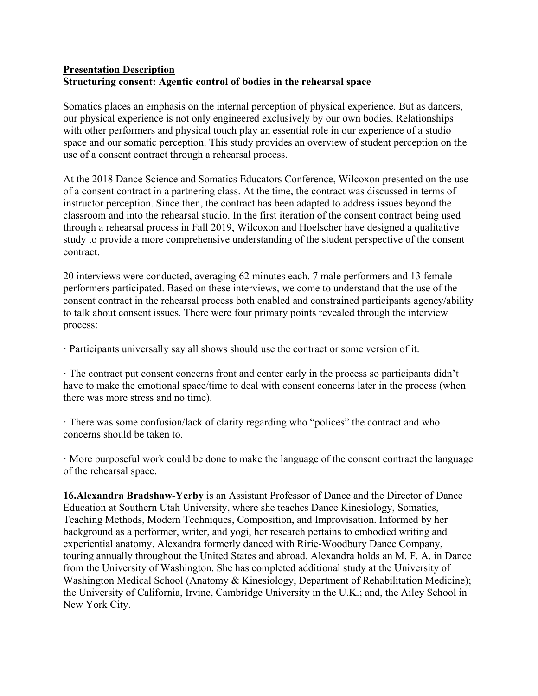# **Presentation Description Structuring consent: Agentic control of bodies in the rehearsal space**

Somatics places an emphasis on the internal perception of physical experience. But as dancers, our physical experience is not only engineered exclusively by our own bodies. Relationships with other performers and physical touch play an essential role in our experience of a studio space and our somatic perception. This study provides an overview of student perception on the use of a consent contract through a rehearsal process.

At the 2018 Dance Science and Somatics Educators Conference, Wilcoxon presented on the use of a consent contract in a partnering class. At the time, the contract was discussed in terms of instructor perception. Since then, the contract has been adapted to address issues beyond the classroom and into the rehearsal studio. In the first iteration of the consent contract being used through a rehearsal process in Fall 2019, Wilcoxon and Hoelscher have designed a qualitative study to provide a more comprehensive understanding of the student perspective of the consent contract.

20 interviews were conducted, averaging 62 minutes each. 7 male performers and 13 female performers participated. Based on these interviews, we come to understand that the use of the consent contract in the rehearsal process both enabled and constrained participants agency/ability to talk about consent issues. There were four primary points revealed through the interview process:

· Participants universally say all shows should use the contract or some version of it.

· The contract put consent concerns front and center early in the process so participants didn't have to make the emotional space/time to deal with consent concerns later in the process (when there was more stress and no time).

· There was some confusion/lack of clarity regarding who "polices" the contract and who concerns should be taken to.

· More purposeful work could be done to make the language of the consent contract the language of the rehearsal space.

**16.Alexandra Bradshaw-Yerby** is an Assistant Professor of Dance and the Director of Dance Education at Southern Utah University, where she teaches Dance Kinesiology, Somatics, Teaching Methods, Modern Techniques, Composition, and Improvisation. Informed by her background as a performer, writer, and yogi, her research pertains to embodied writing and experiential anatomy. Alexandra formerly danced with Ririe-Woodbury Dance Company, touring annually throughout the United States and abroad. Alexandra holds an M. F. A. in Dance from the University of Washington. She has completed additional study at the University of Washington Medical School (Anatomy & Kinesiology, Department of Rehabilitation Medicine); the University of California, Irvine, Cambridge University in the U.K.; and, the Ailey School in New York City.